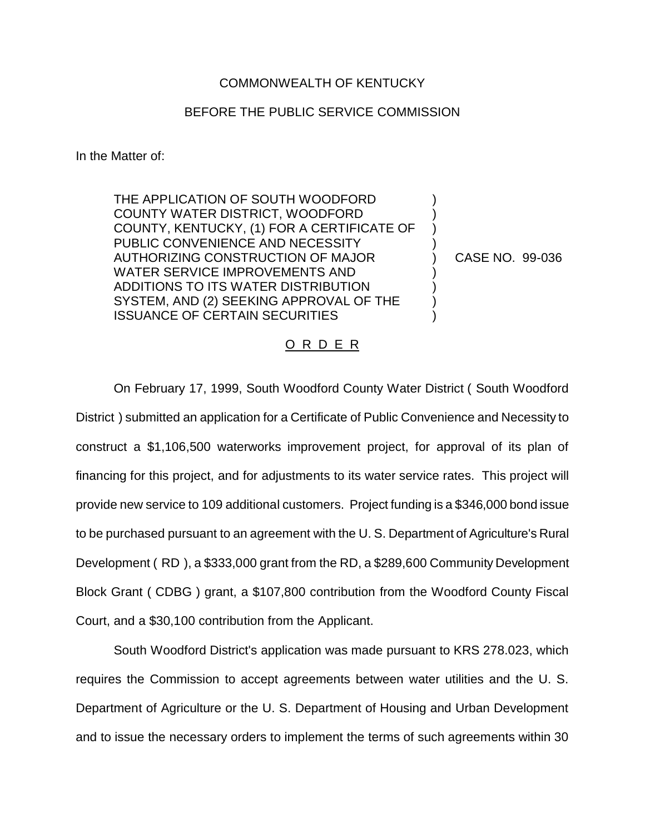## COMMONWEALTH OF KENTUCKY

## BEFORE THE PUBLIC SERVICE COMMISSION

In the Matter of:

THE APPLICATION OF SOUTH WOODFORD COUNTY WATER DISTRICT, WOODFORD COUNTY, KENTUCKY, (1) FOR A CERTIFICATE OF PUBLIC CONVENIENCE AND NECESSITY AUTHORIZING CONSTRUCTION OF MAJOR WATER SERVICE IMPROVEMENTS AND ADDITIONS TO ITS WATER DISTRIBUTION SYSTEM, AND (2) SEEKING APPROVAL OF THE ISSUANCE OF CERTAIN SECURITIES

CASE NO. 99-036

) ) ) ) ) ) ) ) )

## O R D E R

On February 17, 1999, South Woodford County Water District ( South Woodford District ) submitted an application for a Certificate of Public Convenience and Necessity to construct a \$1,106,500 waterworks improvement project, for approval of its plan of financing for this project, and for adjustments to its water service rates. This project will provide new service to 109 additional customers. Project funding is a \$346,000 bond issue to be purchased pursuant to an agreement with the U. S. Department of Agriculture's Rural Development ( RD ), a \$333,000 grant from the RD, a \$289,600 Community Development Block Grant ( CDBG ) grant, a \$107,800 contribution from the Woodford County Fiscal Court, and a \$30,100 contribution from the Applicant.

South Woodford District's application was made pursuant to KRS 278.023, which requires the Commission to accept agreements between water utilities and the U. S. Department of Agriculture or the U. S. Department of Housing and Urban Development and to issue the necessary orders to implement the terms of such agreements within 30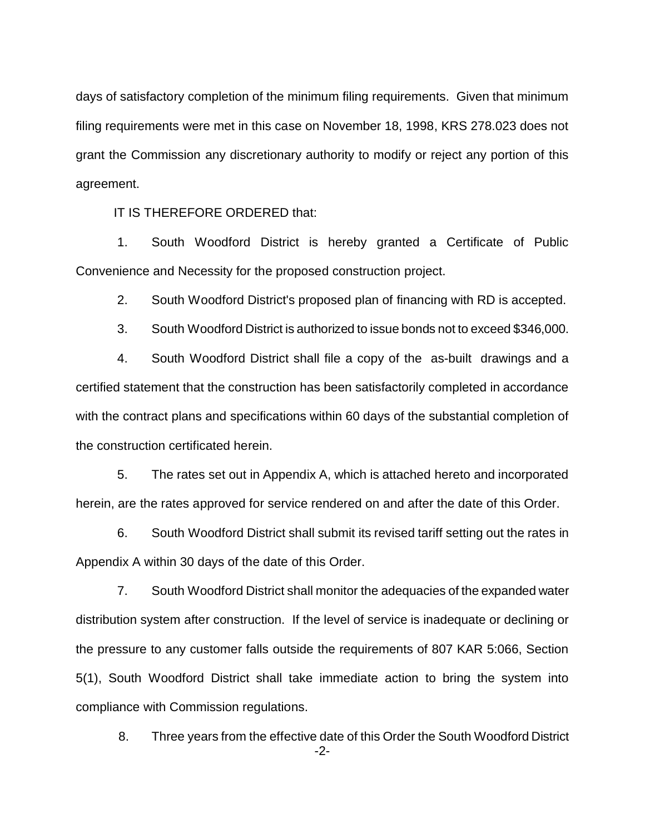days of satisfactory completion of the minimum filing requirements. Given that minimum filing requirements were met in this case on November 18, 1998, KRS 278.023 does not grant the Commission any discretionary authority to modify or reject any portion of this agreement.

IT IS THEREFORE ORDERED that:

1. South Woodford District is hereby granted a Certificate of Public Convenience and Necessity for the proposed construction project.

2. South Woodford District's proposed plan of financing with RD is accepted.

3. South Woodford District is authorized to issue bonds not to exceed \$346,000.

4. South Woodford District shall file a copy of the as-built drawings and a certified statement that the construction has been satisfactorily completed in accordance with the contract plans and specifications within 60 days of the substantial completion of the construction certificated herein.

5. The rates set out in Appendix A, which is attached hereto and incorporated herein, are the rates approved for service rendered on and after the date of this Order.

6. South Woodford District shall submit its revised tariff setting out the rates in Appendix A within 30 days of the date of this Order.

7. South Woodford District shall monitor the adequacies of the expanded water distribution system after construction. If the level of service is inadequate or declining or the pressure to any customer falls outside the requirements of 807 KAR 5:066, Section 5(1), South Woodford District shall take immediate action to bring the system into compliance with Commission regulations.

-2- 8. Three years from the effective date of this Order the South Woodford District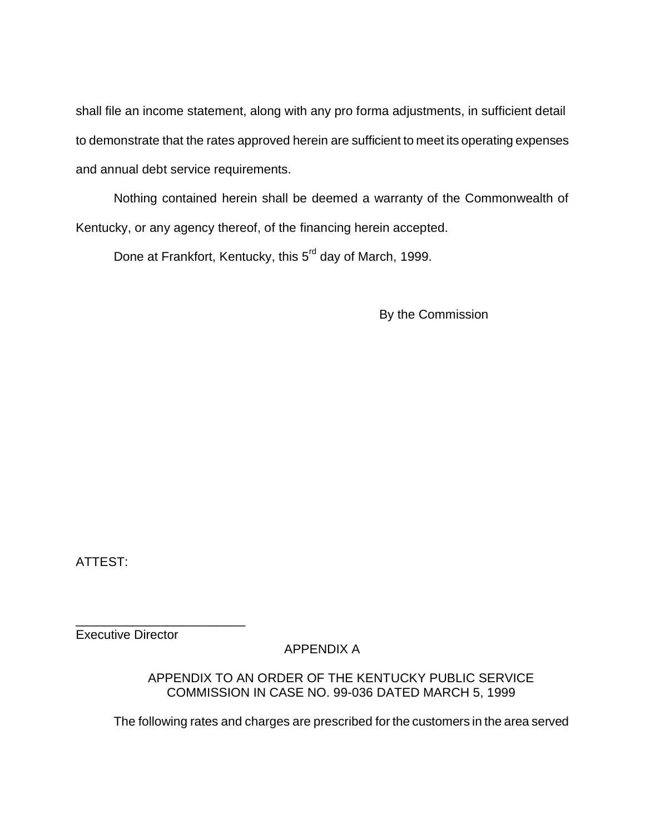shall file an income statement, along with any pro forma adjustments, in sufficient detail to demonstrate that the rates approved herein are sufficient to meet its operating expenses and annual debt service requirements.

Nothing contained herein shall be deemed a warranty of the Commonwealth of Kentucky, or any agency thereof, of the financing herein accepted.

Done at Frankfort, Kentucky, this 5<sup>rd</sup> day of March, 1999.

By the Commission

ATTEST:

Executive Director

\_\_\_\_\_\_\_\_\_\_\_\_\_\_\_\_\_\_\_\_\_\_\_\_

APPENDIX A

APPENDIX TO AN ORDER OF THE KENTUCKY PUBLIC SERVICE COMMISSION IN CASE NO. 99-036 DATED MARCH 5, 1999

The following rates and charges are prescribed for the customers in the area served